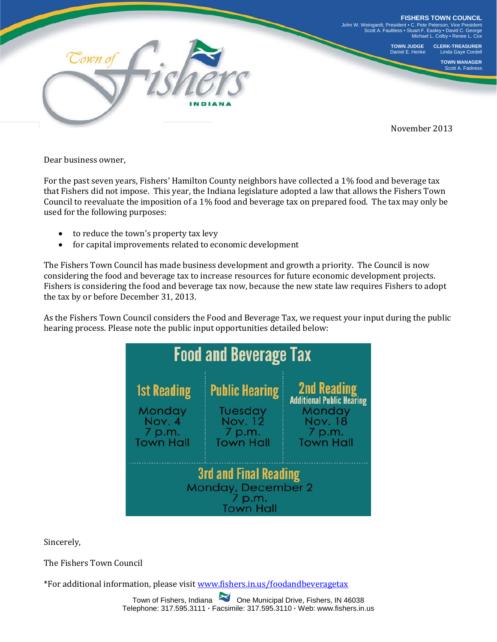

Dear business owner,

For the past seven years, Fishers' Hamilton County neighbors have collected a 1% food and beverage tax that Fishers did not impose. This year, the Indiana legislature adopted a law that allows the Fishers Town Council to reevaluate the imposition of a 1% food and beverage tax on prepared food. The tax may only be used for the following purposes:

- to reduce the town's property tax levy<br>• for capital improvements related to ec
- for capital improvements related to economic development

The Fishers Town Council has made business development and growth a priority. The Council is now considering the food and beverage tax to increase resources for future economic development projects. Fishers is considering the food and beverage tax now, because the new state law requires Fishers to adopt the tax by or before December 31, 2013.

As the Fishers Town Council considers the Food and Beverage Tax, we request your input during the public hearing process. Please note the public input opportunities detailed below:



Sincerely,

The Fishers Town Council

\*For additional information, please visit [www.fishers.in.us/foodandbeveragetax](http://www.fishers.in.us/foodandbeveragetax)